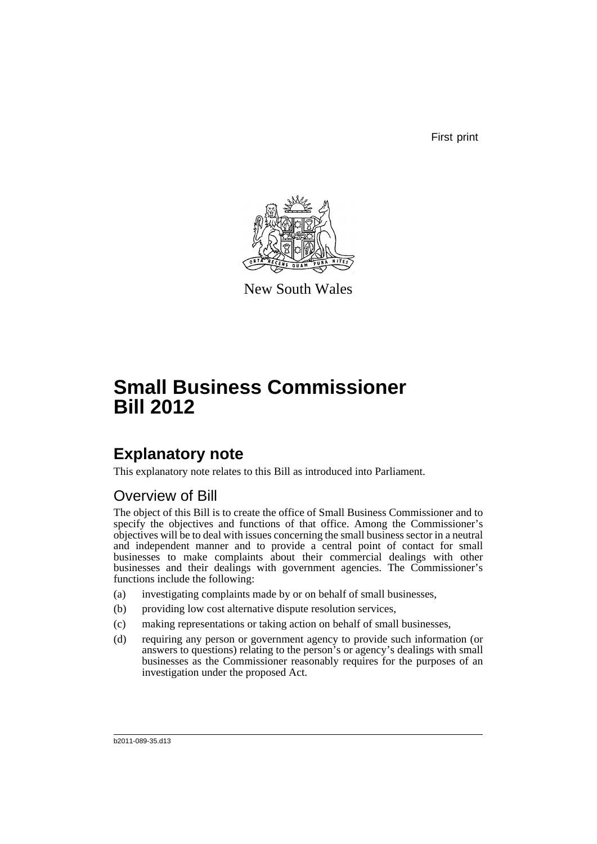First print



New South Wales

# **Small Business Commissioner Bill 2012**

## **Explanatory note**

This explanatory note relates to this Bill as introduced into Parliament.

## Overview of Bill

The object of this Bill is to create the office of Small Business Commissioner and to specify the objectives and functions of that office. Among the Commissioner's objectives will be to deal with issues concerning the small business sector in a neutral and independent manner and to provide a central point of contact for small businesses to make complaints about their commercial dealings with other businesses and their dealings with government agencies. The Commissioner's functions include the following:

- (a) investigating complaints made by or on behalf of small businesses,
- (b) providing low cost alternative dispute resolution services,
- (c) making representations or taking action on behalf of small businesses,
- (d) requiring any person or government agency to provide such information (or answers to questions) relating to the person's or agency's dealings with small businesses as the Commissioner reasonably requires for the purposes of an investigation under the proposed Act.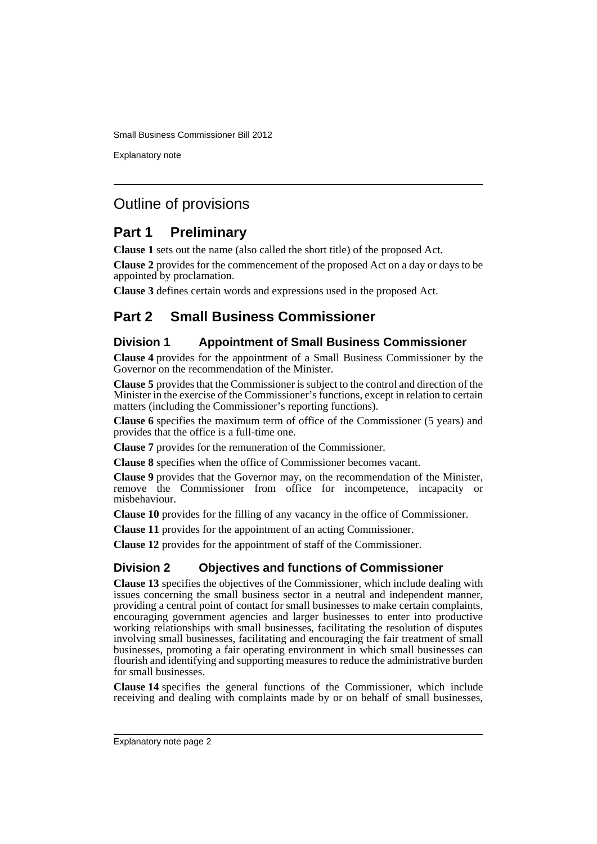Explanatory note

## Outline of provisions

## **Part 1 Preliminary**

**Clause 1** sets out the name (also called the short title) of the proposed Act.

**Clause 2** provides for the commencement of the proposed Act on a day or days to be appointed by proclamation.

**Clause 3** defines certain words and expressions used in the proposed Act.

## **Part 2 Small Business Commissioner**

## **Division 1 Appointment of Small Business Commissioner**

**Clause 4** provides for the appointment of a Small Business Commissioner by the Governor on the recommendation of the Minister.

**Clause 5** provides that the Commissioner is subject to the control and direction of the Minister in the exercise of the Commissioner's functions, except in relation to certain matters (including the Commissioner's reporting functions).

**Clause 6** specifies the maximum term of office of the Commissioner (5 years) and provides that the office is a full-time one.

**Clause 7** provides for the remuneration of the Commissioner.

**Clause 8** specifies when the office of Commissioner becomes vacant.

**Clause 9** provides that the Governor may, on the recommendation of the Minister, remove the Commissioner from office for incompetence, incapacity or misbehaviour.

**Clause 10** provides for the filling of any vacancy in the office of Commissioner.

**Clause 11** provides for the appointment of an acting Commissioner.

**Clause 12** provides for the appointment of staff of the Commissioner.

## **Division 2 Objectives and functions of Commissioner**

**Clause 13** specifies the objectives of the Commissioner, which include dealing with issues concerning the small business sector in a neutral and independent manner, providing a central point of contact for small businesses to make certain complaints, encouraging government agencies and larger businesses to enter into productive working relationships with small businesses, facilitating the resolution of disputes involving small businesses, facilitating and encouraging the fair treatment of small businesses, promoting a fair operating environment in which small businesses can flourish and identifying and supporting measures to reduce the administrative burden for small businesses.

**Clause 14** specifies the general functions of the Commissioner, which include receiving and dealing with complaints made by or on behalf of small businesses,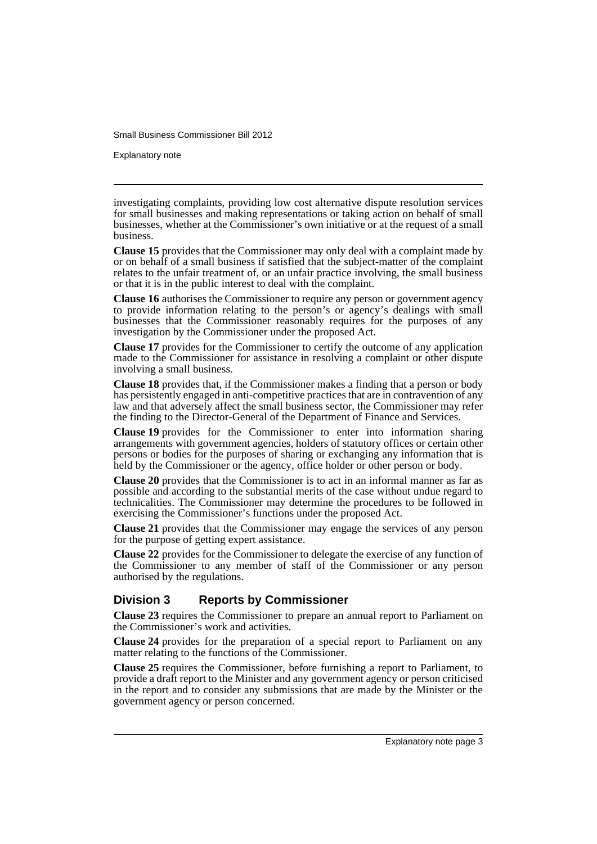Explanatory note

investigating complaints, providing low cost alternative dispute resolution services for small businesses and making representations or taking action on behalf of small businesses, whether at the Commissioner's own initiative or at the request of a small business.

**Clause 15** provides that the Commissioner may only deal with a complaint made by or on behalf of a small business if satisfied that the subject-matter of the complaint relates to the unfair treatment of, or an unfair practice involving, the small business or that it is in the public interest to deal with the complaint.

**Clause 16** authorises the Commissioner to require any person or government agency to provide information relating to the person's or agency's dealings with small businesses that the Commissioner reasonably requires for the purposes of any investigation by the Commissioner under the proposed Act.

**Clause 17** provides for the Commissioner to certify the outcome of any application made to the Commissioner for assistance in resolving a complaint or other dispute involving a small business.

**Clause 18** provides that, if the Commissioner makes a finding that a person or body has persistently engaged in anti-competitive practices that are in contravention of any law and that adversely affect the small business sector, the Commissioner may refer the finding to the Director-General of the Department of Finance and Services.

**Clause 19** provides for the Commissioner to enter into information sharing arrangements with government agencies, holders of statutory offices or certain other persons or bodies for the purposes of sharing or exchanging any information that is held by the Commissioner or the agency, office holder or other person or body.

**Clause 20** provides that the Commissioner is to act in an informal manner as far as possible and according to the substantial merits of the case without undue regard to technicalities. The Commissioner may determine the procedures to be followed in exercising the Commissioner's functions under the proposed Act.

**Clause 21** provides that the Commissioner may engage the services of any person for the purpose of getting expert assistance.

**Clause 22** provides for the Commissioner to delegate the exercise of any function of the Commissioner to any member of staff of the Commissioner or any person authorised by the regulations.

### **Division 3 Reports by Commissioner**

**Clause 23** requires the Commissioner to prepare an annual report to Parliament on the Commissioner's work and activities.

**Clause 24** provides for the preparation of a special report to Parliament on any matter relating to the functions of the Commissioner.

**Clause 25** requires the Commissioner, before furnishing a report to Parliament, to provide a draft report to the Minister and any government agency or person criticised in the report and to consider any submissions that are made by the Minister or the government agency or person concerned.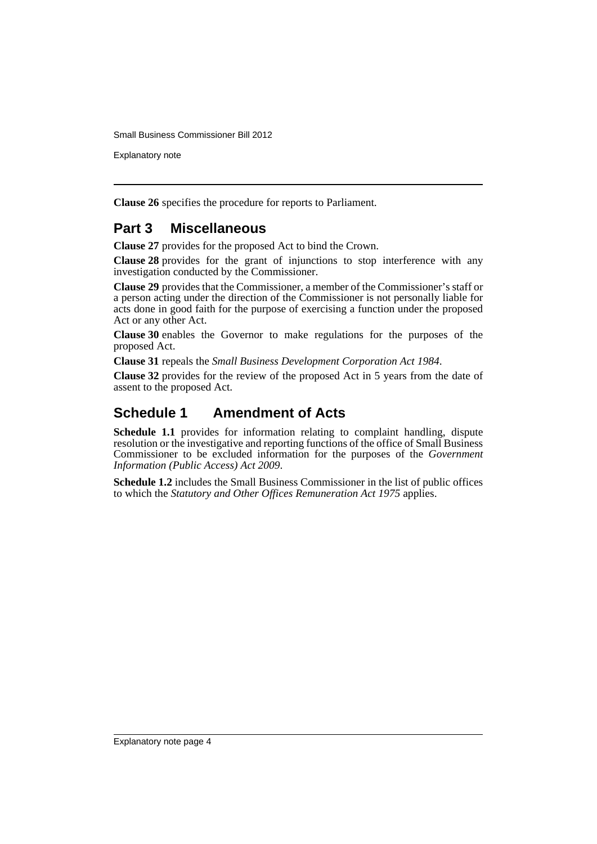Explanatory note

**Clause 26** specifies the procedure for reports to Parliament.

## **Part 3 Miscellaneous**

**Clause 27** provides for the proposed Act to bind the Crown.

**Clause 28** provides for the grant of injunctions to stop interference with any investigation conducted by the Commissioner.

**Clause 29** provides that the Commissioner, a member of the Commissioner's staff or a person acting under the direction of the Commissioner is not personally liable for acts done in good faith for the purpose of exercising a function under the proposed Act or any other Act.

**Clause 30** enables the Governor to make regulations for the purposes of the proposed Act.

**Clause 31** repeals the *Small Business Development Corporation Act 1984*.

**Clause 32** provides for the review of the proposed Act in 5 years from the date of assent to the proposed Act.

## **Schedule 1 Amendment of Acts**

**Schedule 1.1** provides for information relating to complaint handling, dispute resolution or the investigative and reporting functions of the office of Small Business Commissioner to be excluded information for the purposes of the *Government Information (Public Access) Act 2009*.

**Schedule 1.2** includes the Small Business Commissioner in the list of public offices to which the *Statutory and Other Offices Remuneration Act 1975* applies.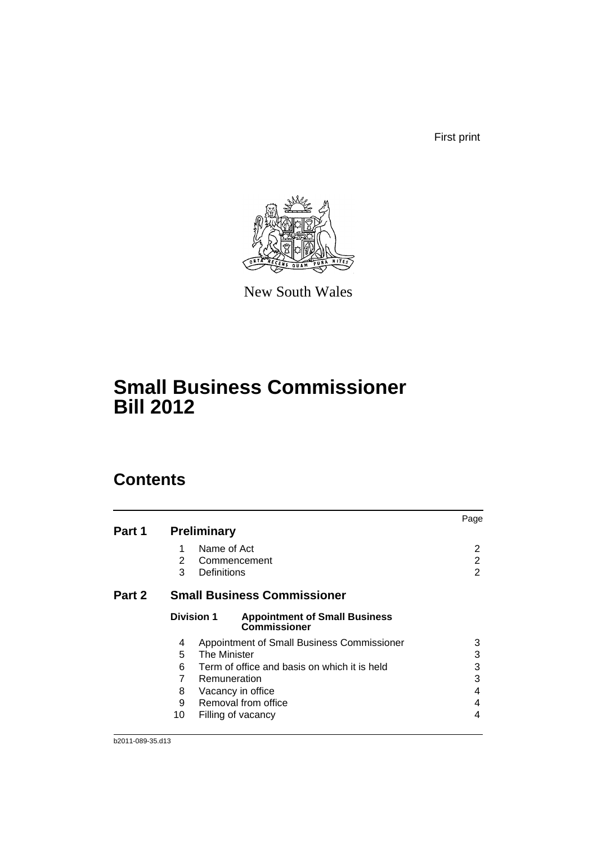First print



New South Wales

# **Small Business Commissioner Bill 2012**

## **Contents**

|        |    |                                                                                  | Page |
|--------|----|----------------------------------------------------------------------------------|------|
| Part 1 |    | <b>Preliminary</b>                                                               |      |
|        | 1  | Name of Act                                                                      | 2    |
|        | 2  | Commencement                                                                     | 2    |
|        | 3  | Definitions                                                                      | 2    |
| Part 2 |    | <b>Small Business Commissioner</b>                                               |      |
|        |    | <b>Division 1</b><br><b>Appointment of Small Business</b><br><b>Commissioner</b> |      |
|        | 4  | Appointment of Small Business Commissioner                                       | 3    |
|        | 5  | <b>The Minister</b>                                                              | 3    |
|        | 6  | Term of office and basis on which it is held                                     | 3    |
|        | 7  | Remuneration                                                                     | 3    |
|        | 8  | Vacancy in office                                                                | 4    |
|        | 9  | Removal from office                                                              | 4    |
|        | 10 | Filling of vacancy                                                               | 4    |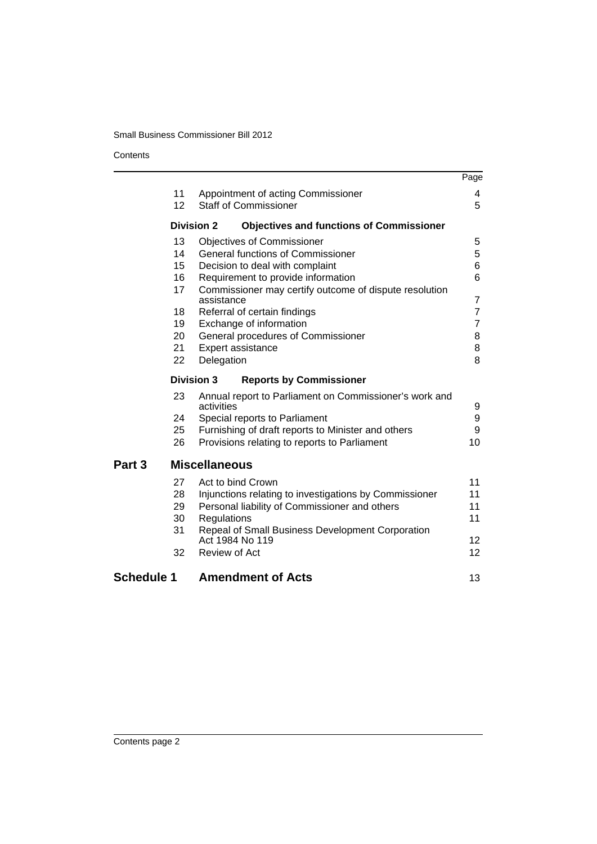#### **Contents**

|                   |                   |                                                                      | Page            |
|-------------------|-------------------|----------------------------------------------------------------------|-----------------|
|                   | 11                | Appointment of acting Commissioner                                   | 4               |
|                   | 12                | <b>Staff of Commissioner</b>                                         | 5               |
|                   | <b>Division 2</b> | <b>Objectives and functions of Commissioner</b>                      |                 |
|                   | 13                | <b>Objectives of Commissioner</b>                                    | 5               |
|                   | 14                | <b>General functions of Commissioner</b>                             | 5               |
|                   | 15                | Decision to deal with complaint                                      | 6               |
|                   | 16                | Requirement to provide information                                   | 6               |
|                   | 17                | Commissioner may certify outcome of dispute resolution<br>assistance | 7               |
|                   | 18                | Referral of certain findings                                         | $\overline{7}$  |
|                   | 19                | Exchange of information                                              | 7               |
|                   | 20                | General procedures of Commissioner                                   | 8               |
|                   | 21                | Expert assistance                                                    | 8               |
|                   | 22                | Delegation                                                           | 8               |
|                   | <b>Division 3</b> | <b>Reports by Commissioner</b>                                       |                 |
|                   | 23                | Annual report to Parliament on Commissioner's work and<br>activities | 9               |
|                   | 24                | Special reports to Parliament                                        | 9               |
|                   | 25                | Furnishing of draft reports to Minister and others                   | 9               |
|                   | 26                | Provisions relating to reports to Parliament                         | 10              |
| Part 3            |                   | <b>Miscellaneous</b>                                                 |                 |
|                   | 27                | Act to bind Crown                                                    | 11              |
|                   | 28                | Injunctions relating to investigations by Commissioner               | 11              |
|                   | 29                | Personal liability of Commissioner and others                        | 11              |
|                   | 30                | Regulations                                                          | 11              |
|                   | 31                | Repeal of Small Business Development Corporation<br>Act 1984 No 119  | 12 <sup>2</sup> |
|                   | 32                | Review of Act                                                        | 12 <sup>2</sup> |
| <b>Schedule 1</b> |                   | <b>Amendment of Acts</b>                                             | 13              |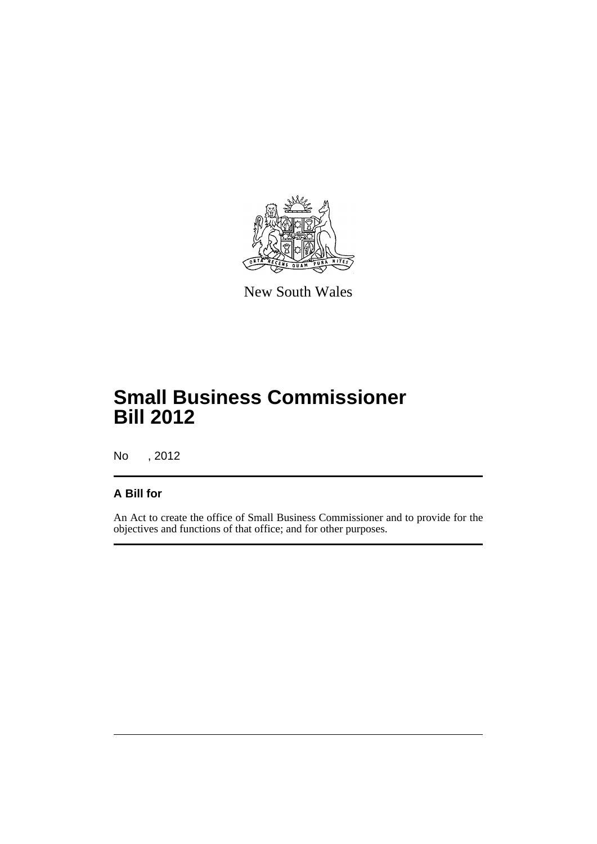

New South Wales

# **Small Business Commissioner Bill 2012**

No , 2012

## **A Bill for**

An Act to create the office of Small Business Commissioner and to provide for the objectives and functions of that office; and for other purposes.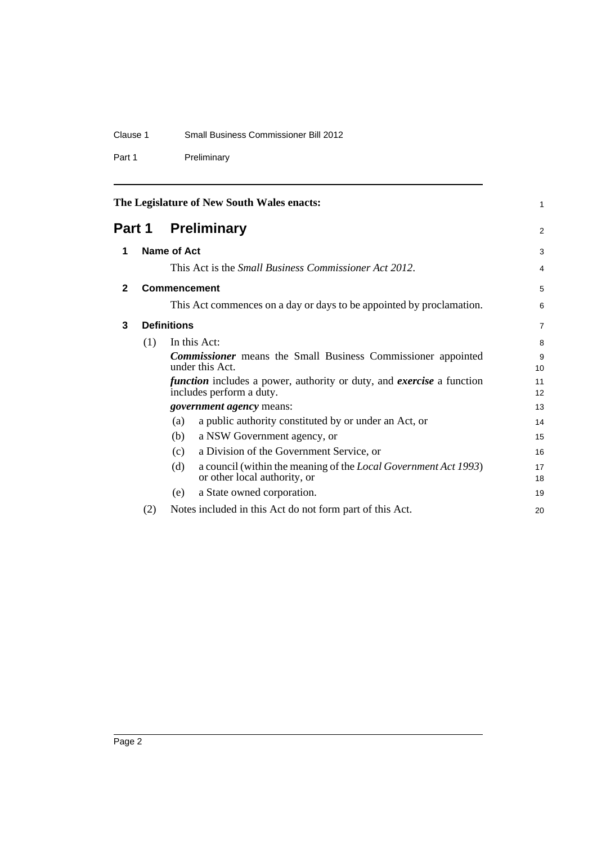### Clause 1 Small Business Commissioner Bill 2012

Part 1 Preliminary

<span id="page-7-3"></span><span id="page-7-2"></span><span id="page-7-1"></span><span id="page-7-0"></span>

| The Legislature of New South Wales enacts: |                     |                                                                                                                 | 1              |
|--------------------------------------------|---------------------|-----------------------------------------------------------------------------------------------------------------|----------------|
|                                            |                     | <b>Part 1 Preliminary</b>                                                                                       | 2              |
| 1                                          |                     | Name of Act                                                                                                     | 3              |
|                                            |                     | This Act is the <i>Small Business Commissioner Act 2012</i> .                                                   | 4              |
| $\mathbf{2}$                               | <b>Commencement</b> |                                                                                                                 | 5              |
|                                            |                     | This Act commences on a day or days to be appointed by proclamation.                                            | 6              |
| 3                                          | <b>Definitions</b>  |                                                                                                                 | $\overline{7}$ |
|                                            | (1)                 | In this Act:                                                                                                    | 8              |
|                                            |                     | <b>Commissioner</b> means the Small Business Commissioner appointed<br>under this Act.                          | 9<br>10        |
|                                            |                     | <i>function</i> includes a power, authority or duty, and <i>exercise</i> a function<br>includes perform a duty. | 11<br>12       |
|                                            |                     | <i>government agency</i> means:                                                                                 | 13             |
|                                            |                     | a public authority constituted by or under an Act, or<br>(a)                                                    | 14             |
|                                            |                     | a NSW Government agency, or<br>(b)                                                                              | 15             |
|                                            |                     | a Division of the Government Service, or<br>(c)                                                                 | 16             |
|                                            |                     | (d)<br>a council (within the meaning of the <i>Local Government Act 1993</i> )<br>or other local authority, or  | 17<br>18       |
|                                            |                     | a State owned corporation.<br>(e)                                                                               | 19             |
|                                            | (2)                 | Notes included in this Act do not form part of this Act.                                                        | 20             |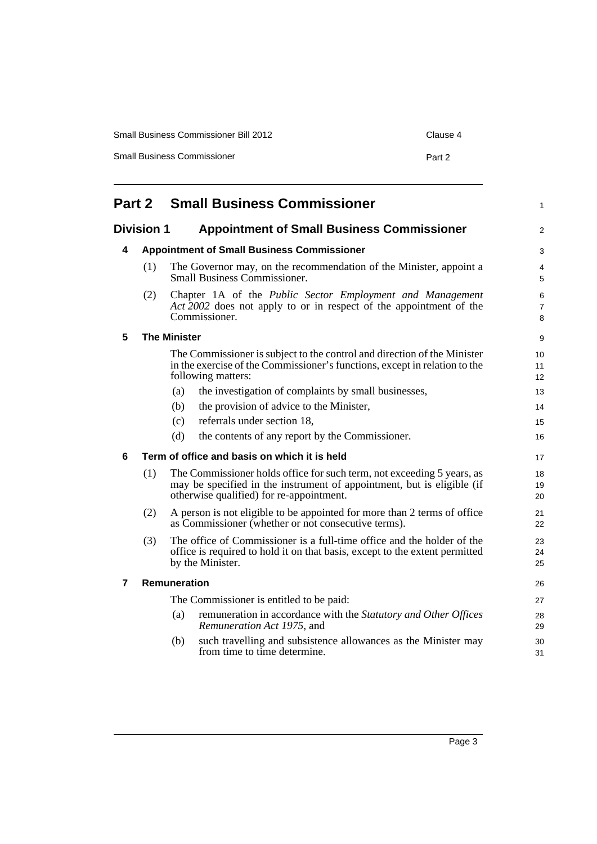| <b>Small Business Commissioner Bill 2012</b> | Clause 4 |
|----------------------------------------------|----------|
| <b>Small Business Commissioner</b>           | Part 2   |

<span id="page-8-5"></span><span id="page-8-4"></span><span id="page-8-3"></span><span id="page-8-2"></span><span id="page-8-1"></span><span id="page-8-0"></span>

| <b>Small Business Commissioner</b><br>Part 2                           |     |                                                                                                                                                                                              | 1              |
|------------------------------------------------------------------------|-----|----------------------------------------------------------------------------------------------------------------------------------------------------------------------------------------------|----------------|
| <b>Division 1</b><br><b>Appointment of Small Business Commissioner</b> |     |                                                                                                                                                                                              | 2              |
| 4                                                                      |     | <b>Appointment of Small Business Commissioner</b>                                                                                                                                            | 3              |
|                                                                        | (1) | The Governor may, on the recommendation of the Minister, appoint a<br>Small Business Commissioner.                                                                                           | 4<br>5         |
|                                                                        | (2) | Chapter 1A of the Public Sector Employment and Management<br>Act 2002 does not apply to or in respect of the appointment of the<br>Commissioner.                                             | 6<br>7<br>8    |
| 5                                                                      |     | <b>The Minister</b>                                                                                                                                                                          | 9              |
|                                                                        |     | The Commissioner is subject to the control and direction of the Minister<br>in the exercise of the Commissioner's functions, except in relation to the<br>following matters:                 | 10<br>11<br>12 |
|                                                                        |     | the investigation of complaints by small businesses,<br>(a)                                                                                                                                  | 13             |
|                                                                        |     | the provision of advice to the Minister,<br>(b)                                                                                                                                              | 14             |
|                                                                        |     | referrals under section 18,<br>(c)                                                                                                                                                           | 15             |
|                                                                        |     | (d)<br>the contents of any report by the Commissioner.                                                                                                                                       | 16             |
| 6                                                                      |     | Term of office and basis on which it is held                                                                                                                                                 | 17             |
|                                                                        | (1) | The Commissioner holds office for such term, not exceeding 5 years, as<br>may be specified in the instrument of appointment, but is eligible (if<br>otherwise qualified) for re-appointment. | 18<br>19<br>20 |
|                                                                        | (2) | A person is not eligible to be appointed for more than 2 terms of office<br>as Commissioner (whether or not consecutive terms).                                                              | 21<br>22       |
|                                                                        | (3) | The office of Commissioner is a full-time office and the holder of the<br>office is required to hold it on that basis, except to the extent permitted<br>by the Minister.                    | 23<br>24<br>25 |
| $\overline{7}$                                                         |     | Remuneration                                                                                                                                                                                 | 26             |
|                                                                        |     | The Commissioner is entitled to be paid:                                                                                                                                                     | 27             |
|                                                                        |     | remuneration in accordance with the Statutory and Other Offices<br>(a)<br>Remuneration Act 1975, and                                                                                         | 28<br>29       |
|                                                                        |     | such travelling and subsistence allowances as the Minister may<br>(b)<br>from time to time determine.                                                                                        | 30<br>31       |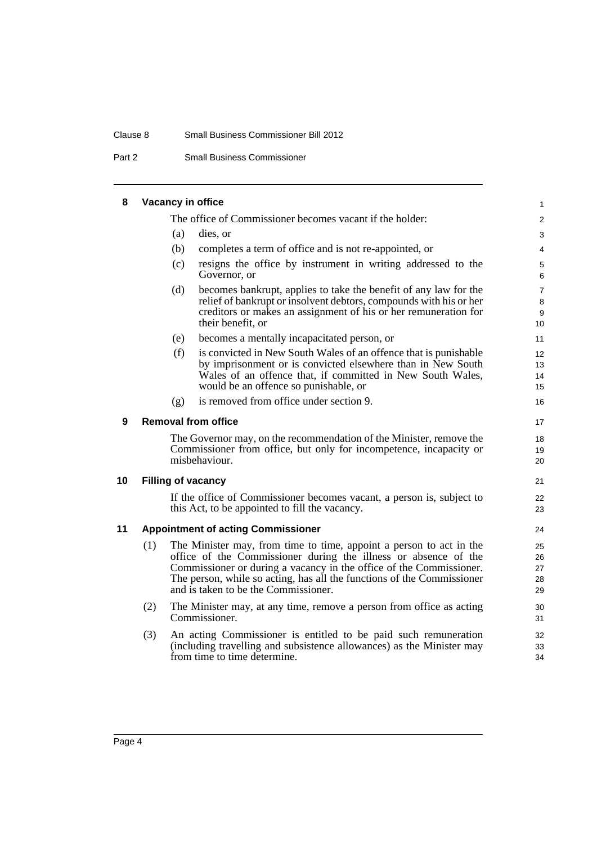#### Clause 8 Small Business Commissioner Bill 2012

Part 2 Small Business Commissioner

#### **8 Vacancy in office**

<span id="page-9-3"></span><span id="page-9-2"></span><span id="page-9-1"></span><span id="page-9-0"></span>The office of Commissioner becomes vacant if the holder: (a) dies, or (b) completes a term of office and is not re-appointed, or (c) resigns the office by instrument in writing addressed to the Governor, or (d) becomes bankrupt, applies to take the benefit of any law for the relief of bankrupt or insolvent debtors, compounds with his or her creditors or makes an assignment of his or her remuneration for their benefit, or (e) becomes a mentally incapacitated person, or (f) is convicted in New South Wales of an offence that is punishable by imprisonment or is convicted elsewhere than in New South Wales of an offence that, if committed in New South Wales, would be an offence so punishable, or (g) is removed from office under section 9. **9 Removal from office** The Governor may, on the recommendation of the Minister, remove the Commissioner from office, but only for incompetence, incapacity or misbehaviour. **10 Filling of vacancy** If the office of Commissioner becomes vacant, a person is, subject to this Act, to be appointed to fill the vacancy. **11 Appointment of acting Commissioner** (1) The Minister may, from time to time, appoint a person to act in the office of the Commissioner during the illness or absence of the Commissioner or during a vacancy in the office of the Commissioner. The person, while so acting, has all the functions of the Commissioner and is taken to be the Commissioner. (2) The Minister may, at any time, remove a person from office as acting Commissioner. (3) An acting Commissioner is entitled to be paid such remuneration (including travelling and subsistence allowances) as the Minister may from time to time determine. 1  $\mathfrak{p}$ 3 4 5 6 7 8 9 10 11 12 13 14 15 16 17 18 19 20 21 22 23 24 25 26 27 28 29 30 31 32 33 34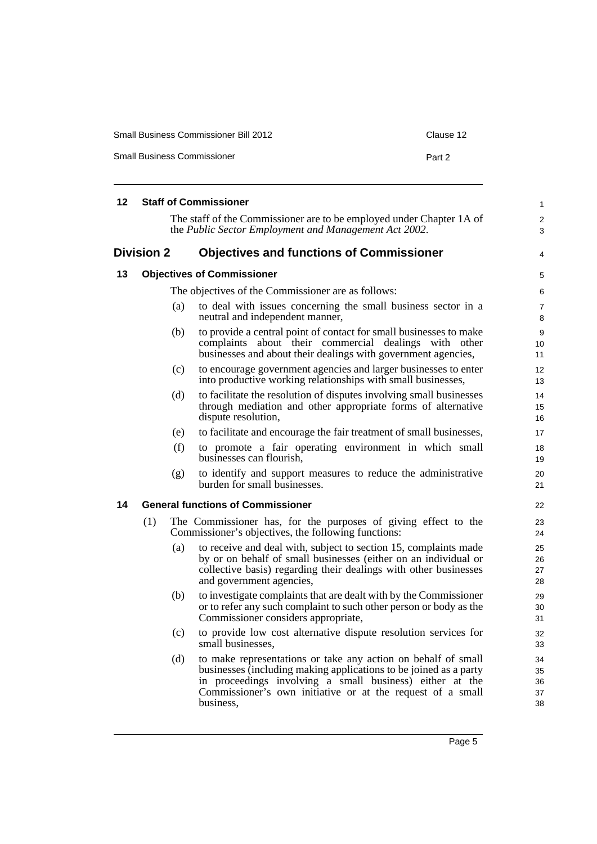| <b>Small Business Commissioner Bill 2012</b> | Clause 12 |
|----------------------------------------------|-----------|
| <b>Small Business Commissioner</b>           | Part 2    |

<span id="page-10-3"></span><span id="page-10-2"></span><span id="page-10-1"></span><span id="page-10-0"></span>

| 12 |                   |     | <b>Staff of Commissioner</b>                                                                                                                                                                                                                                              | $\mathbf{1}$               |
|----|-------------------|-----|---------------------------------------------------------------------------------------------------------------------------------------------------------------------------------------------------------------------------------------------------------------------------|----------------------------|
|    |                   |     | The staff of the Commissioner are to be employed under Chapter 1A of<br>the Public Sector Employment and Management Act 2002.                                                                                                                                             | 2<br>3                     |
|    | <b>Division 2</b> |     | <b>Objectives and functions of Commissioner</b>                                                                                                                                                                                                                           | 4                          |
| 13 |                   |     | <b>Objectives of Commissioner</b>                                                                                                                                                                                                                                         | 5                          |
|    |                   |     | The objectives of the Commissioner are as follows:                                                                                                                                                                                                                        | 6                          |
|    |                   | (a) | to deal with issues concerning the small business sector in a<br>neutral and independent manner,                                                                                                                                                                          | $\overline{7}$<br>8        |
|    |                   | (b) | to provide a central point of contact for small businesses to make<br>complaints about their commercial dealings with other<br>businesses and about their dealings with government agencies,                                                                              | 9<br>10<br>11              |
|    |                   | (c) | to encourage government agencies and larger businesses to enter<br>into productive working relationships with small businesses,                                                                                                                                           | 12<br>13                   |
|    |                   | (d) | to facilitate the resolution of disputes involving small businesses<br>through mediation and other appropriate forms of alternative<br>dispute resolution,                                                                                                                | 14<br>15<br>16             |
|    |                   | (e) | to facilitate and encourage the fair treatment of small businesses,                                                                                                                                                                                                       | 17                         |
|    |                   | (f) | to promote a fair operating environment in which small<br>businesses can flourish,                                                                                                                                                                                        | 18<br>19                   |
|    |                   | (g) | to identify and support measures to reduce the administrative<br>burden for small businesses.                                                                                                                                                                             | 20<br>21                   |
| 14 |                   |     | <b>General functions of Commissioner</b>                                                                                                                                                                                                                                  | 22                         |
|    | (1)               |     | The Commissioner has, for the purposes of giving effect to the<br>Commissioner's objectives, the following functions:                                                                                                                                                     | 23<br>24                   |
|    |                   | (a) | to receive and deal with, subject to section 15, complaints made<br>by or on behalf of small businesses (either on an individual or<br>collective basis) regarding their dealings with other businesses<br>and government agencies,                                       | 25<br>26<br>27<br>28       |
|    |                   | (b) | to investigate complaints that are dealt with by the Commissioner<br>or to refer any such complaint to such other person or body as the<br>Commissioner considers appropriate,                                                                                            | 29<br>30<br>31             |
|    |                   | (c) | to provide low cost alternative dispute resolution services for<br>small businesses.                                                                                                                                                                                      | 32<br>33                   |
|    |                   | (d) | to make representations or take any action on behalf of small<br>businesses (including making applications to be joined as a party<br>in proceedings involving a small business) either at the<br>Commissioner's own initiative or at the request of a small<br>business, | 34<br>35<br>36<br>37<br>38 |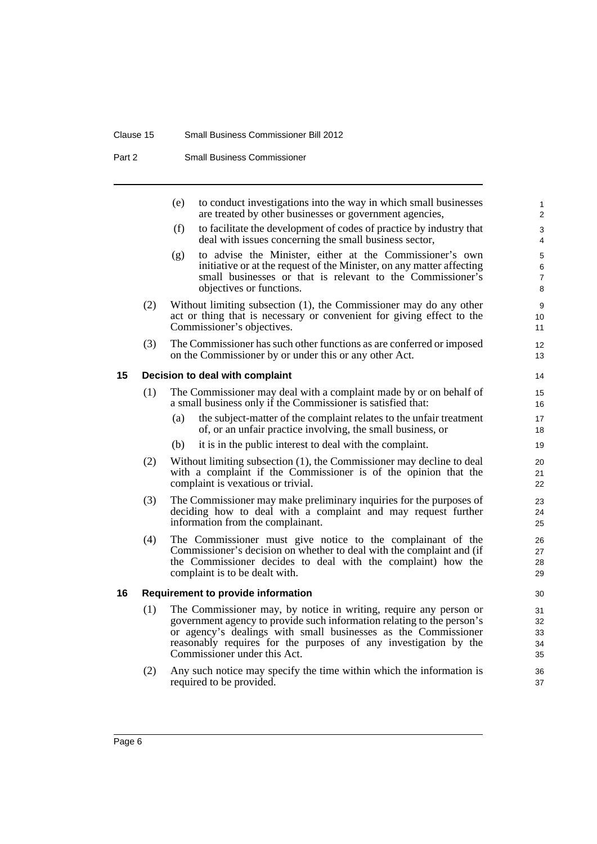#### Clause 15 Small Business Commissioner Bill 2012

Part 2 Small Business Commissioner

<span id="page-11-1"></span><span id="page-11-0"></span>

|    |     | (e) | to conduct investigations into the way in which small businesses<br>are treated by other businesses or government agencies,                                                                                                                                                                                       | $\mathbf{1}$<br>$\overline{2}$ |
|----|-----|-----|-------------------------------------------------------------------------------------------------------------------------------------------------------------------------------------------------------------------------------------------------------------------------------------------------------------------|--------------------------------|
|    |     | (f) | to facilitate the development of codes of practice by industry that<br>deal with issues concerning the small business sector,                                                                                                                                                                                     | 3<br>4                         |
|    |     | (g) | to advise the Minister, either at the Commissioner's own<br>initiative or at the request of the Minister, on any matter affecting<br>small businesses or that is relevant to the Commissioner's<br>objectives or functions.                                                                                       | 5<br>6<br>$\overline{7}$<br>8  |
|    | (2) |     | Without limiting subsection (1), the Commissioner may do any other<br>act or thing that is necessary or convenient for giving effect to the<br>Commissioner's objectives.                                                                                                                                         | 9<br>10<br>11                  |
|    | (3) |     | The Commissioner has such other functions as are conferred or imposed<br>on the Commissioner by or under this or any other Act.                                                                                                                                                                                   | 12<br>13                       |
| 15 |     |     | Decision to deal with complaint                                                                                                                                                                                                                                                                                   | 14                             |
|    | (1) |     | The Commissioner may deal with a complaint made by or on behalf of<br>a small business only if the Commissioner is satisfied that:                                                                                                                                                                                | 15<br>16                       |
|    |     | (a) | the subject-matter of the complaint relates to the unfair treatment<br>of, or an unfair practice involving, the small business, or                                                                                                                                                                                | 17<br>18                       |
|    |     | (b) | it is in the public interest to deal with the complaint.                                                                                                                                                                                                                                                          | 19                             |
|    | (2) |     | Without limiting subsection (1), the Commissioner may decline to deal<br>with a complaint if the Commissioner is of the opinion that the<br>complaint is vexatious or trivial.                                                                                                                                    | 20<br>21<br>22                 |
|    | (3) |     | The Commissioner may make preliminary inquiries for the purposes of<br>deciding how to deal with a complaint and may request further<br>information from the complainant.                                                                                                                                         | 23<br>24<br>25                 |
|    | (4) |     | The Commissioner must give notice to the complainant of the<br>Commissioner's decision on whether to deal with the complaint and (if<br>the Commissioner decides to deal with the complaint) how the<br>complaint is to be dealt with.                                                                            | 26<br>27<br>28<br>29           |
| 16 |     |     | <b>Requirement to provide information</b>                                                                                                                                                                                                                                                                         | 30                             |
|    | (1) |     | The Commissioner may, by notice in writing, require any person or<br>government agency to provide such information relating to the person's<br>or agency's dealings with small businesses as the Commissioner<br>reasonably requires for the purposes of any investigation by the<br>Commissioner under this Act. | 31<br>32<br>33<br>34<br>35     |
|    | (2) |     | Any such notice may specify the time within which the information is<br>required to be provided.                                                                                                                                                                                                                  | 36<br>37                       |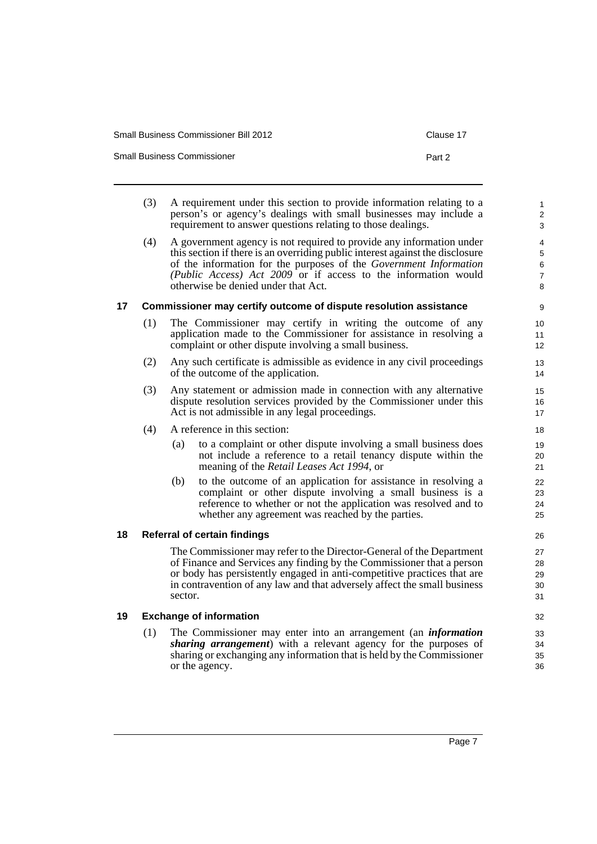| Small Business Commissioner Bill 2012 |  |
|---------------------------------------|--|
|                                       |  |

Small Business Commissioner **Part 2 Part 2** 

1

3 4

7

<span id="page-12-2"></span><span id="page-12-1"></span><span id="page-12-0"></span>(3) A requirement under this section to provide information relating to a person's or agency's dealings with small businesses may include a requirement to answer questions relating to those dealings. (4) A government agency is not required to provide any information under this section if there is an overriding public interest against the disclosure of the information for the purposes of the *Government Information (Public Access) Act 2009* or if access to the information would otherwise be denied under that Act. **17 Commissioner may certify outcome of dispute resolution assistance** (1) The Commissioner may certify in writing the outcome of any application made to the Commissioner for assistance in resolving a complaint or other dispute involving a small business. (2) Any such certificate is admissible as evidence in any civil proceedings of the outcome of the application. (3) Any statement or admission made in connection with any alternative dispute resolution services provided by the Commissioner under this Act is not admissible in any legal proceedings. (4) A reference in this section: (a) to a complaint or other dispute involving a small business does not include a reference to a retail tenancy dispute within the meaning of the *Retail Leases Act 1994*, or (b) to the outcome of an application for assistance in resolving a complaint or other dispute involving a small business is a reference to whether or not the application was resolved and to whether any agreement was reached by the parties. **18 Referral of certain findings** The Commissioner may refer to the Director-General of the Department of Finance and Services any finding by the Commissioner that a person or body has persistently engaged in anti-competitive practices that are in contravention of any law and that adversely affect the small business sector. **19 Exchange of information** (1) The Commissioner may enter into an arrangement (an *information sharing arrangement*) with a relevant agency for the purposes of sharing or exchanging any information that is held by the Commissioner or the agency.  $\overline{2}$ 5 6 8 9 10 11 12 13 14 15 16 17 18 19  $20$ 21 22 23 24 25 26 27 28 29 30 31 32 33 34 35 36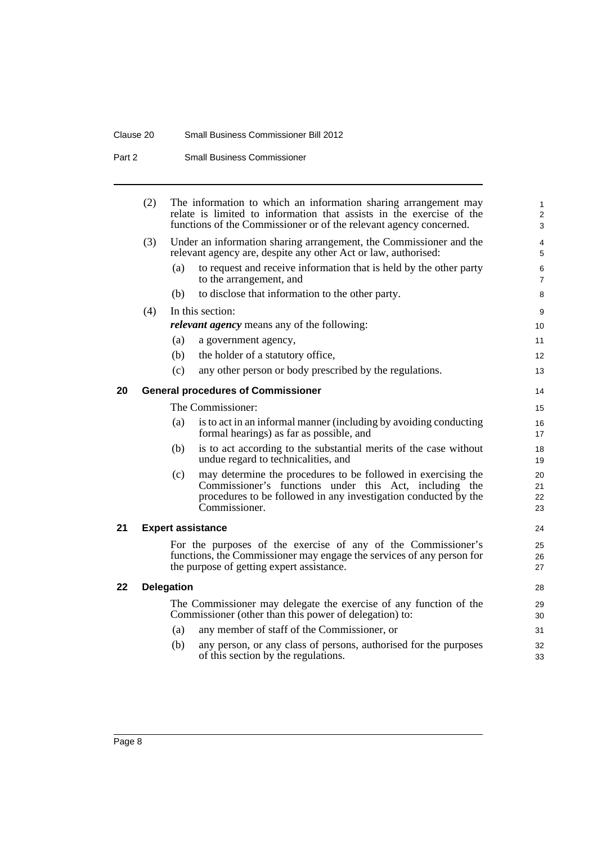#### Clause 20 Small Business Commissioner Bill 2012

Part 2 Small Business Commissioner

<span id="page-13-2"></span><span id="page-13-1"></span><span id="page-13-0"></span>

|    | (2) |            | The information to which an information sharing arrangement may<br>relate is limited to information that assists in the exercise of the                                                                     | $\mathbf{1}$<br>2    |
|----|-----|------------|-------------------------------------------------------------------------------------------------------------------------------------------------------------------------------------------------------------|----------------------|
|    |     |            | functions of the Commissioner or of the relevant agency concerned.                                                                                                                                          | 3                    |
|    | (3) |            | Under an information sharing arrangement, the Commissioner and the<br>relevant agency are, despite any other Act or law, authorised:                                                                        | 4<br>5               |
|    |     | (a)        | to request and receive information that is held by the other party<br>to the arrangement, and                                                                                                               | 6<br>$\overline{7}$  |
|    |     | (b)        | to disclose that information to the other party.                                                                                                                                                            | 8                    |
|    | (4) |            | In this section:                                                                                                                                                                                            | 9                    |
|    |     |            | <i>relevant agency</i> means any of the following:                                                                                                                                                          | 10                   |
|    |     | (a)        | a government agency,                                                                                                                                                                                        | 11                   |
|    |     | (b)        | the holder of a statutory office,                                                                                                                                                                           | 12                   |
|    |     | (c)        | any other person or body prescribed by the regulations.                                                                                                                                                     | 13                   |
| 20 |     |            | <b>General procedures of Commissioner</b>                                                                                                                                                                   | 14                   |
|    |     |            | The Commissioner:                                                                                                                                                                                           | 15                   |
|    |     | (a)        | is to act in an informal manner (including by avoiding conducting<br>formal hearings) as far as possible, and                                                                                               | 16<br>17             |
|    |     | (b)        | is to act according to the substantial merits of the case without<br>undue regard to technicalities, and                                                                                                    | 18<br>19             |
|    |     | (c)        | may determine the procedures to be followed in exercising the<br>Commissioner's functions under this Act, including the<br>procedures to be followed in any investigation conducted by the<br>Commissioner. | 20<br>21<br>22<br>23 |
| 21 |     |            | <b>Expert assistance</b>                                                                                                                                                                                    | 24                   |
|    |     |            | For the purposes of the exercise of any of the Commissioner's<br>functions, the Commissioner may engage the services of any person for<br>the purpose of getting expert assistance.                         | 25<br>26<br>27       |
| 22 |     | Delegation |                                                                                                                                                                                                             | 28                   |
|    |     |            | The Commissioner may delegate the exercise of any function of the<br>Commissioner (other than this power of delegation) to:                                                                                 | 29<br>30             |
|    |     | (a)        | any member of staff of the Commissioner, or                                                                                                                                                                 | 31                   |
|    |     | (b)        | any person, or any class of persons, authorised for the purposes<br>of this section by the regulations.                                                                                                     | 32<br>33             |
|    |     |            |                                                                                                                                                                                                             |                      |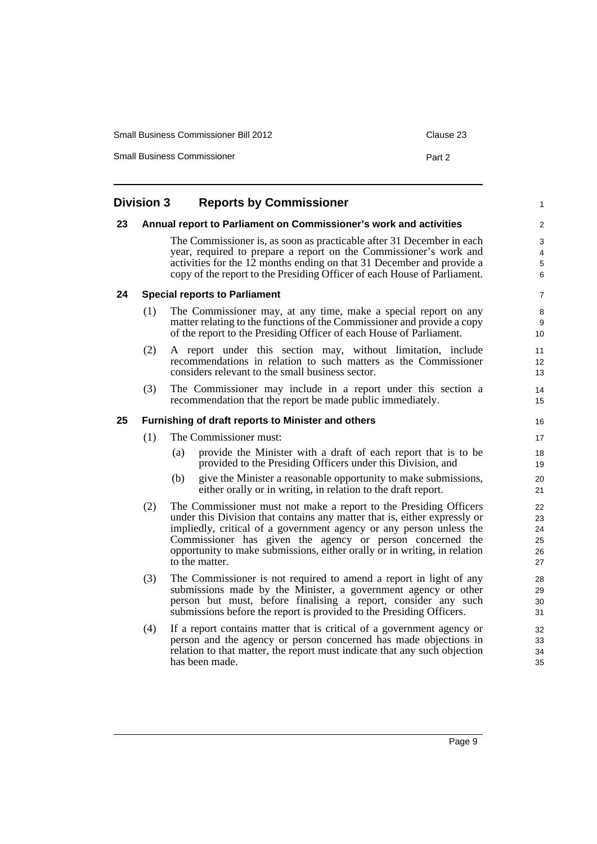| <b>Small Business Commissioner Bill 2012</b> | Clause 23 |
|----------------------------------------------|-----------|
| <b>Small Business Commissioner</b>           | Part 2    |

<span id="page-14-3"></span><span id="page-14-2"></span><span id="page-14-1"></span><span id="page-14-0"></span>

|    | <b>Division 3</b> | <b>Reports by Commissioner</b>                                                                                                                                                                                                                                                                                                                                                    | $\mathbf{1}$                     |
|----|-------------------|-----------------------------------------------------------------------------------------------------------------------------------------------------------------------------------------------------------------------------------------------------------------------------------------------------------------------------------------------------------------------------------|----------------------------------|
| 23 |                   | Annual report to Parliament on Commissioner's work and activities                                                                                                                                                                                                                                                                                                                 | 2                                |
|    |                   | The Commissioner is, as soon as practicable after 31 December in each<br>year, required to prepare a report on the Commissioner's work and<br>activities for the 12 months ending on that 31 December and provide a<br>copy of the report to the Presiding Officer of each House of Parliament.                                                                                   | 3<br>4<br>$\overline{5}$<br>6    |
| 24 |                   | <b>Special reports to Parliament</b>                                                                                                                                                                                                                                                                                                                                              | $\overline{7}$                   |
|    | (1)               | The Commissioner may, at any time, make a special report on any<br>matter relating to the functions of the Commissioner and provide a copy<br>of the report to the Presiding Officer of each House of Parliament.                                                                                                                                                                 | 8<br>9<br>10                     |
|    | (2)               | A report under this section may, without limitation, include<br>recommendations in relation to such matters as the Commissioner<br>considers relevant to the small business sector.                                                                                                                                                                                               | 11<br>12<br>13                   |
|    | (3)               | The Commissioner may include in a report under this section a<br>recommendation that the report be made public immediately.                                                                                                                                                                                                                                                       | 14<br>15                         |
| 25 |                   | Furnishing of draft reports to Minister and others                                                                                                                                                                                                                                                                                                                                | 16                               |
|    | (1)               | The Commissioner must:                                                                                                                                                                                                                                                                                                                                                            | 17                               |
|    |                   | provide the Minister with a draft of each report that is to be<br>(a)<br>provided to the Presiding Officers under this Division, and                                                                                                                                                                                                                                              | 18<br>19                         |
|    |                   | (b)<br>give the Minister a reasonable opportunity to make submissions,<br>either orally or in writing, in relation to the draft report.                                                                                                                                                                                                                                           | 20<br>21                         |
|    | (2)               | The Commissioner must not make a report to the Presiding Officers<br>under this Division that contains any matter that is, either expressly or<br>impliedly, critical of a government agency or any person unless the<br>Commissioner has given the agency or person concerned the<br>opportunity to make submissions, either orally or in writing, in relation<br>to the matter. | 22<br>23<br>24<br>25<br>26<br>27 |
|    | (3)               | The Commissioner is not required to amend a report in light of any<br>submissions made by the Minister, a government agency or other<br>person but must, before finalising a report, consider any such<br>submissions before the report is provided to the Presiding Officers.                                                                                                    | 28<br>29<br>30<br>31             |
|    | (4)               | If a report contains matter that is critical of a government agency or<br>person and the agency or person concerned has made objections in<br>relation to that matter, the report must indicate that any such objection<br>has been made.                                                                                                                                         | 32<br>33<br>34<br>35             |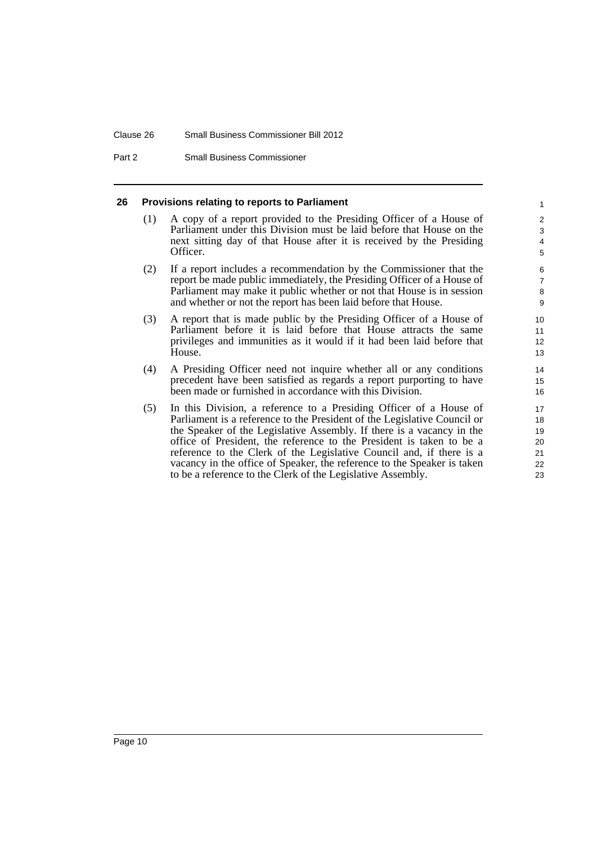#### Clause 26 Small Business Commissioner Bill 2012

Part 2 Small Business Commissioner

#### <span id="page-15-0"></span>**26 Provisions relating to reports to Parliament**

(1) A copy of a report provided to the Presiding Officer of a House of Parliament under this Division must be laid before that House on the next sitting day of that House after it is received by the Presiding Officer.

- (2) If a report includes a recommendation by the Commissioner that the report be made public immediately, the Presiding Officer of a House of Parliament may make it public whether or not that House is in session and whether or not the report has been laid before that House.
- (3) A report that is made public by the Presiding Officer of a House of Parliament before it is laid before that House attracts the same privileges and immunities as it would if it had been laid before that House.
- (4) A Presiding Officer need not inquire whether all or any conditions precedent have been satisfied as regards a report purporting to have been made or furnished in accordance with this Division.
- (5) In this Division, a reference to a Presiding Officer of a House of Parliament is a reference to the President of the Legislative Council or the Speaker of the Legislative Assembly. If there is a vacancy in the office of President, the reference to the President is taken to be a reference to the Clerk of the Legislative Council and, if there is a vacancy in the office of Speaker, the reference to the Speaker is taken to be a reference to the Clerk of the Legislative Assembly.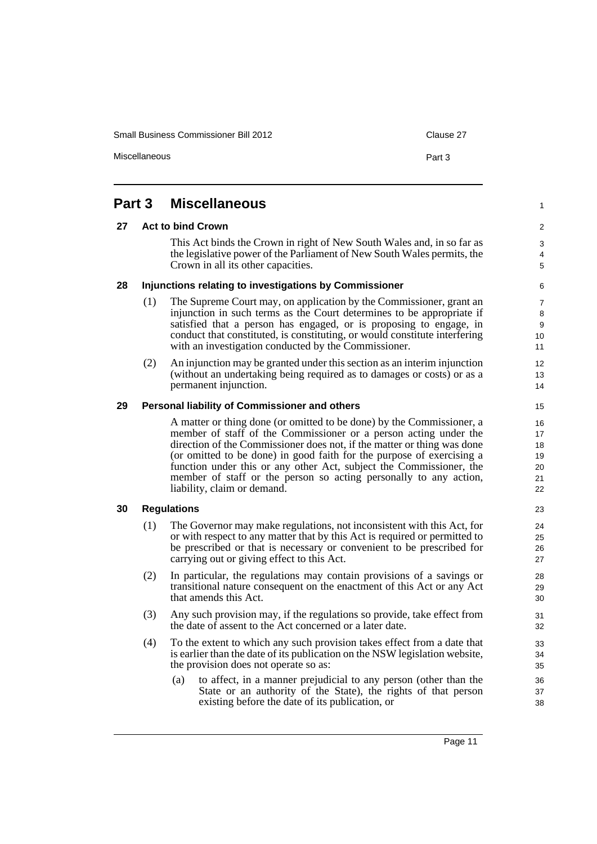Small Business Commissioner Bill 2012 Clause 27

Miscellaneous **Part 3** 

#### <span id="page-16-4"></span><span id="page-16-3"></span><span id="page-16-2"></span><span id="page-16-1"></span><span id="page-16-0"></span>**Part 3 Miscellaneous 27 Act to bind Crown** This Act binds the Crown in right of New South Wales and, in so far as the legislative power of the Parliament of New South Wales permits, the Crown in all its other capacities. **28 Injunctions relating to investigations by Commissioner** (1) The Supreme Court may, on application by the Commissioner, grant an injunction in such terms as the Court determines to be appropriate if satisfied that a person has engaged, or is proposing to engage, in conduct that constituted, is constituting, or would constitute interfering with an investigation conducted by the Commissioner. (2) An injunction may be granted under this section as an interim injunction (without an undertaking being required as to damages or costs) or as a permanent injunction. **29 Personal liability of Commissioner and others** A matter or thing done (or omitted to be done) by the Commissioner, a member of staff of the Commissioner or a person acting under the direction of the Commissioner does not, if the matter or thing was done (or omitted to be done) in good faith for the purpose of exercising a function under this or any other Act, subject the Commissioner, the member of staff or the person so acting personally to any action, liability, claim or demand. **30 Regulations** (1) The Governor may make regulations, not inconsistent with this Act, for or with respect to any matter that by this Act is required or permitted to be prescribed or that is necessary or convenient to be prescribed for carrying out or giving effect to this Act. (2) In particular, the regulations may contain provisions of a savings or transitional nature consequent on the enactment of this Act or any Act that amends this Act. (3) Any such provision may, if the regulations so provide, take effect from the date of assent to the Act concerned or a later date. (4) To the extent to which any such provision takes effect from a date that is earlier than the date of its publication on the NSW legislation website, the provision does not operate so as: (a) to affect, in a manner prejudicial to any person (other than the State or an authority of the State), the rights of that person existing before the date of its publication, or 1  $\overline{2}$ 3 4 5 6 7 8 9 10 11 12 13 14 15 16 17 18 19 20 21 22 23 24 25 26 27 28 29 30 31 32 33 34 35 36 37 38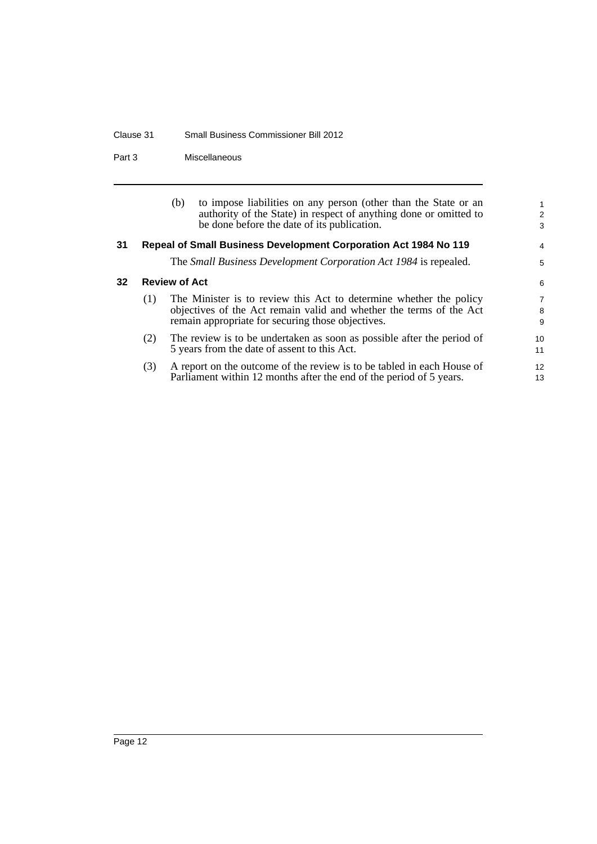#### Clause 31 Small Business Commissioner Bill 2012

Part 3 Miscellaneous

<span id="page-17-1"></span><span id="page-17-0"></span>

|    |                                                                  | (b)<br>be done before the date of its publication. | to impose liabilities on any person (other than the State or an<br>authority of the State) in respect of anything done or omitted to          | $\overline{2}$<br>3      |
|----|------------------------------------------------------------------|----------------------------------------------------|-----------------------------------------------------------------------------------------------------------------------------------------------|--------------------------|
| 31 | Repeal of Small Business Development Corporation Act 1984 No 119 |                                                    |                                                                                                                                               | 4                        |
|    |                                                                  |                                                    | The <i>Small Business Development Corporation Act 1984</i> is repealed.                                                                       | 5                        |
| 32 | <b>Review of Act</b>                                             |                                                    |                                                                                                                                               | 6                        |
|    | (1)                                                              | remain appropriate for securing those objectives.  | The Minister is to review this Act to determine whether the policy<br>objectives of the Act remain valid and whether the terms of the Act     | $\overline{7}$<br>8<br>9 |
|    | (2)                                                              | 5 years from the date of assent to this Act.       | The review is to be undertaken as soon as possible after the period of                                                                        | 10<br>11                 |
|    | (3)                                                              |                                                    | A report on the outcome of the review is to be tabled in each House of<br>Parliament within 12 months after the end of the period of 5 years. | $12 \overline{ }$<br>13  |